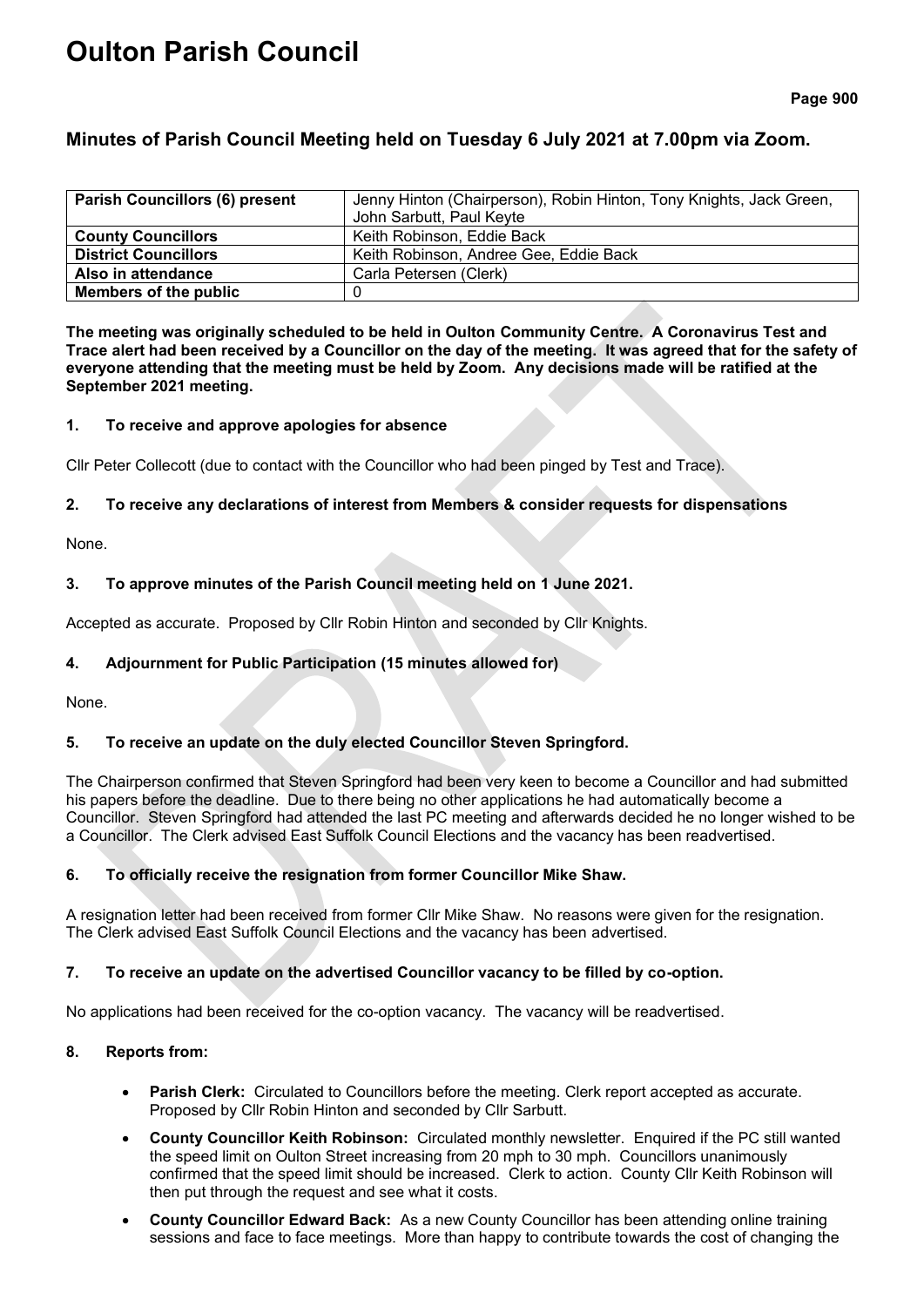# **Oulton Parish Council**

## **Minutes of Parish Council Meeting held on Tuesday 6 July 2021 at 7.00pm via Zoom.**

| <b>Parish Councillors (6) present</b> | Jenny Hinton (Chairperson), Robin Hinton, Tony Knights, Jack Green, |  |
|---------------------------------------|---------------------------------------------------------------------|--|
|                                       | John Sarbutt, Paul Keyte                                            |  |
| <b>County Councillors</b>             | Keith Robinson, Eddie Back                                          |  |
| <b>District Councillors</b>           | Keith Robinson, Andree Gee, Eddie Back                              |  |
| Also in attendance                    | Carla Petersen (Clerk)                                              |  |
| Members of the public                 |                                                                     |  |

**The meeting was originally scheduled to be held in Oulton Community Centre. A Coronavirus Test and Trace alert had been received by a Councillor on the day of the meeting. It was agreed that for the safety of everyone attending that the meeting must be held by Zoom. Any decisions made will be ratified at the September 2021 meeting.**

#### **1. To receive and approve apologies for absence**

Cllr Peter Collecott (due to contact with the Councillor who had been pinged by Test and Trace).

## **2. To receive any declarations of interest from Members & consider requests for dispensations**

None.

## **3. To approve minutes of the Parish Council meeting held on 1 June 2021.**

Accepted as accurate. Proposed by Cllr Robin Hinton and seconded by Cllr Knights.

## **4. Adjournment for Public Participation (15 minutes allowed for)**

None.

## **5. To receive an update on the duly elected Councillor Steven Springford.**

The Chairperson confirmed that Steven Springford had been very keen to become a Councillor and had submitted his papers before the deadline. Due to there being no other applications he had automatically become a Councillor. Steven Springford had attended the last PC meeting and afterwards decided he no longer wished to be a Councillor. The Clerk advised East Suffolk Council Elections and the vacancy has been readvertised.

## **6. To officially receive the resignation from former Councillor Mike Shaw.**

A resignation letter had been received from former Cllr Mike Shaw. No reasons were given for the resignation. The Clerk advised East Suffolk Council Elections and the vacancy has been advertised.

## **7. To receive an update on the advertised Councillor vacancy to be filled by co-option.**

No applications had been received for the co-option vacancy. The vacancy will be readvertised.

## **8. Reports from:**

- **Parish Clerk:** Circulated to Councillors before the meeting. Clerk report accepted as accurate. Proposed by Cllr Robin Hinton and seconded by Cllr Sarbutt.
- **County Councillor Keith Robinson:** Circulated monthly newsletter. Enquired if the PC still wanted the speed limit on Oulton Street increasing from 20 mph to 30 mph. Councillors unanimously confirmed that the speed limit should be increased. Clerk to action. County Cllr Keith Robinson will then put through the request and see what it costs.
- **County Councillor Edward Back:** As a new County Councillor has been attending online training sessions and face to face meetings. More than happy to contribute towards the cost of changing the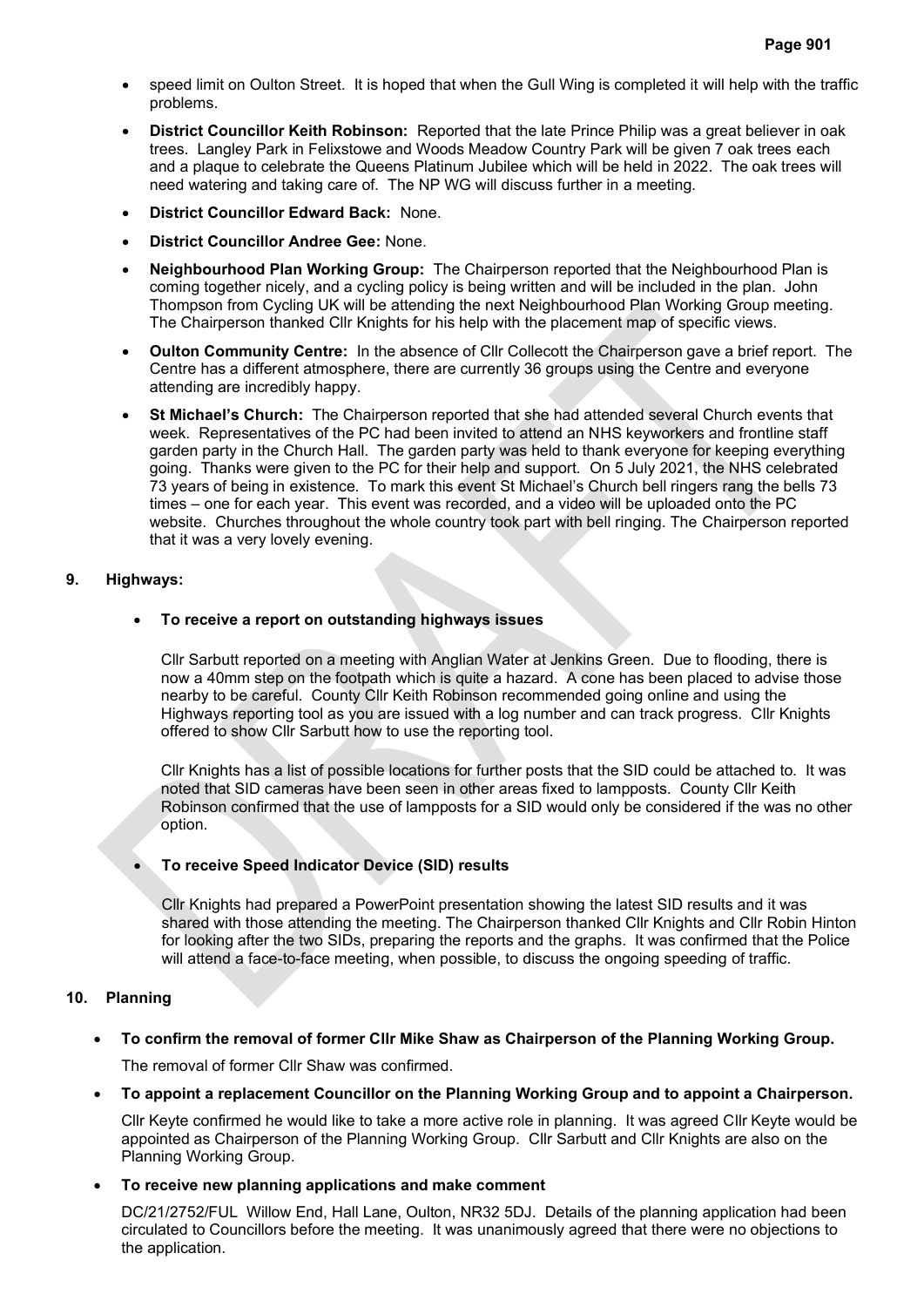- speed limit on Oulton Street. It is hoped that when the Gull Wing is completed it will help with the traffic problems.
- **District Councillor Keith Robinson:** Reported that the late Prince Philip was a great believer in oak trees. Langley Park in Felixstowe and Woods Meadow Country Park will be given 7 oak trees each and a plaque to celebrate the Queens Platinum Jubilee which will be held in 2022. The oak trees will need watering and taking care of. The NP WG will discuss further in a meeting.
- **District Councillor Edward Back:** None.
- **District Councillor Andree Gee:** None.
- **Neighbourhood Plan Working Group:** The Chairperson reported that the Neighbourhood Plan is coming together nicely, and a cycling policy is being written and will be included in the plan. John Thompson from Cycling UK will be attending the next Neighbourhood Plan Working Group meeting. The Chairperson thanked Cllr Knights for his help with the placement map of specific views.
- **Oulton Community Centre:** In the absence of Cllr Collecott the Chairperson gave a brief report. The Centre has a different atmosphere, there are currently 36 groups using the Centre and everyone attending are incredibly happy.
- **St Michael's Church:** The Chairperson reported that she had attended several Church events that week. Representatives of the PC had been invited to attend an NHS keyworkers and frontline staff garden party in the Church Hall. The garden party was held to thank everyone for keeping everything going. Thanks were given to the PC for their help and support. On 5 July 2021, the NHS celebrated 73 years of being in existence. To mark this event St Michael's Church bell ringers rang the bells 73 times – one for each year. This event was recorded, and a video will be uploaded onto the PC website. Churches throughout the whole country took part with bell ringing. The Chairperson reported that it was a very lovely evening.

#### **9. Highways:**

## • **To receive a report on outstanding highways issues**

Cllr Sarbutt reported on a meeting with Anglian Water at Jenkins Green. Due to flooding, there is now a 40mm step on the footpath which is quite a hazard. A cone has been placed to advise those nearby to be careful. County Cllr Keith Robinson recommended going online and using the Highways reporting tool as you are issued with a log number and can track progress. Cllr Knights offered to show Cllr Sarbutt how to use the reporting tool.

Cllr Knights has a list of possible locations for further posts that the SID could be attached to. It was noted that SID cameras have been seen in other areas fixed to lampposts. County Cllr Keith Robinson confirmed that the use of lampposts for a SID would only be considered if the was no other option.

## • **To receive Speed Indicator Device (SID) results**

Cllr Knights had prepared a PowerPoint presentation showing the latest SID results and it was shared with those attending the meeting. The Chairperson thanked Cllr Knights and Cllr Robin Hinton for looking after the two SIDs, preparing the reports and the graphs. It was confirmed that the Police will attend a face-to-face meeting, when possible, to discuss the ongoing speeding of traffic.

#### **10. Planning**

• **To confirm the removal of former Cllr Mike Shaw as Chairperson of the Planning Working Group.**

The removal of former Cllr Shaw was confirmed.

• **To appoint a replacement Councillor on the Planning Working Group and to appoint a Chairperson.**

Cllr Keyte confirmed he would like to take a more active role in planning. It was agreed Cllr Keyte would be appointed as Chairperson of the Planning Working Group. Cllr Sarbutt and Cllr Knights are also on the Planning Working Group.

#### • **To receive new planning applications and make comment**

DC/21/2752/FUL Willow End, Hall Lane, Oulton, NR32 5DJ. Details of the planning application had been circulated to Councillors before the meeting. It was unanimously agreed that there were no objections to the application.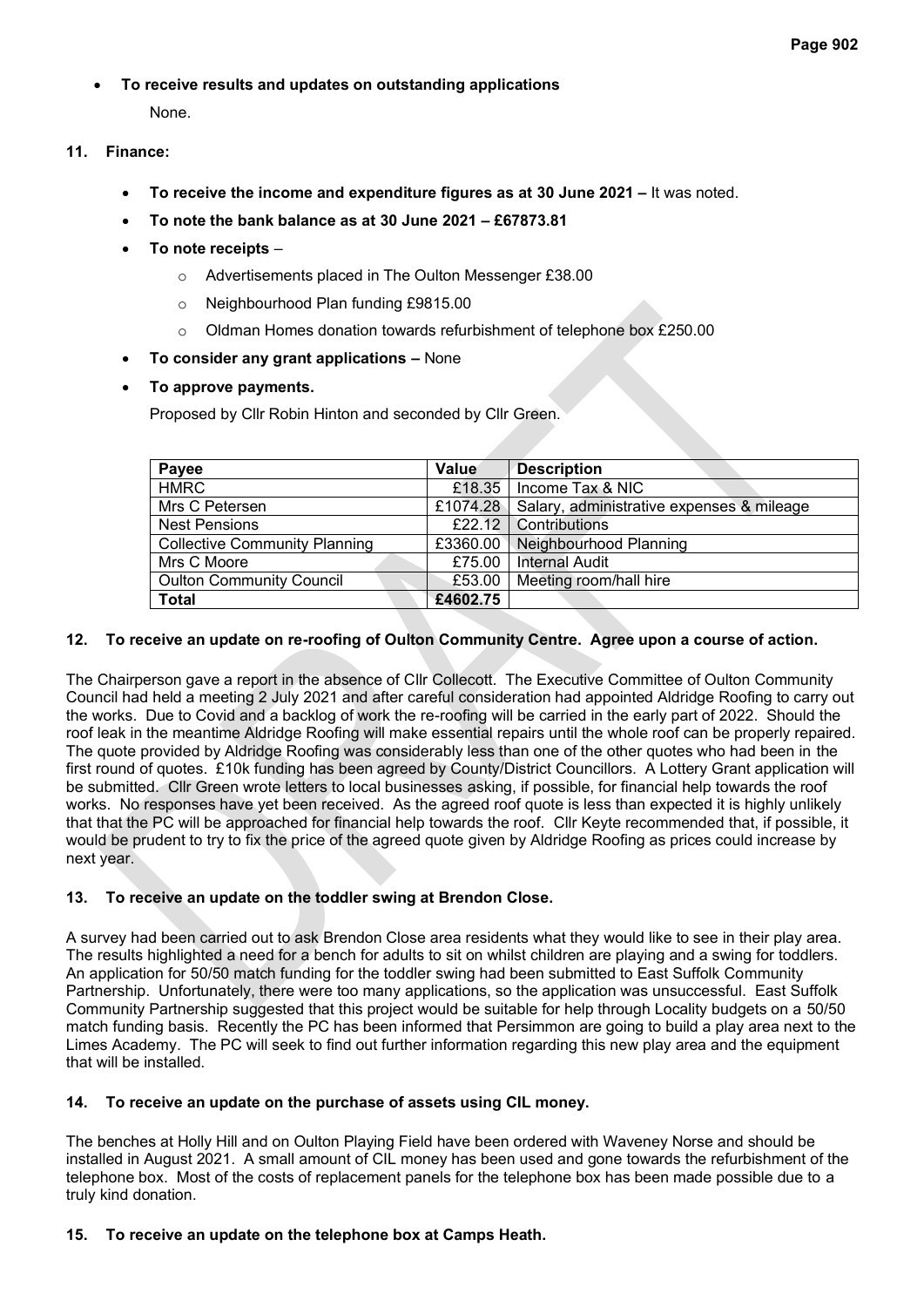• **To receive results and updates on outstanding applications**

None.

- **11. Finance:**
	- **To receive the income and expenditure figures as at 30 June 2021 –** It was noted.
	- **To note the bank balance as at 30 June 2021 – £67873.81**
	- **To note receipts**
		- o Advertisements placed in The Oulton Messenger £38.00
		- o Neighbourhood Plan funding £9815.00
		- o Oldman Homes donation towards refurbishment of telephone box £250.00
	- **To consider any grant applications –** None
	- **To approve payments.**

Proposed by Cllr Robin Hinton and seconded by Cllr Green.

| Payee                                | Value              | <b>Description</b>                        |
|--------------------------------------|--------------------|-------------------------------------------|
| <b>HMRC</b>                          | £18.35             | Income Tax & NIC                          |
| Mrs C Petersen                       | £1074.28           | Salary, administrative expenses & mileage |
| <b>Nest Pensions</b>                 | £22.12 $\parallel$ | Contributions                             |
| <b>Collective Community Planning</b> | £3360.00           | Neighbourhood Planning                    |
| Mrs C Moore                          | £75.00             | <b>Internal Audit</b>                     |
| <b>Oulton Community Council</b>      | £53.00             | Meeting room/hall hire                    |
| <b>Total</b>                         | £4602.75           |                                           |

## **12. To receive an update on re-roofing of Oulton Community Centre. Agree upon a course of action.**

The Chairperson gave a report in the absence of Cllr Collecott. The Executive Committee of Oulton Community Council had held a meeting 2 July 2021 and after careful consideration had appointed Aldridge Roofing to carry out the works. Due to Covid and a backlog of work the re-roofing will be carried in the early part of 2022. Should the roof leak in the meantime Aldridge Roofing will make essential repairs until the whole roof can be properly repaired. The quote provided by Aldridge Roofing was considerably less than one of the other quotes who had been in the first round of quotes. £10k funding has been agreed by County/District Councillors. A Lottery Grant application will be submitted. Cllr Green wrote letters to local businesses asking, if possible, for financial help towards the roof works. No responses have yet been received. As the agreed roof quote is less than expected it is highly unlikely that that the PC will be approached for financial help towards the roof. Cllr Keyte recommended that, if possible, it would be prudent to try to fix the price of the agreed quote given by Aldridge Roofing as prices could increase by next year.

## **13. To receive an update on the toddler swing at Brendon Close.**

A survey had been carried out to ask Brendon Close area residents what they would like to see in their play area. The results highlighted a need for a bench for adults to sit on whilst children are playing and a swing for toddlers. An application for 50/50 match funding for the toddler swing had been submitted to East Suffolk Community Partnership. Unfortunately, there were too many applications, so the application was unsuccessful. East Suffolk Community Partnership suggested that this project would be suitable for help through Locality budgets on a 50/50 match funding basis. Recently the PC has been informed that Persimmon are going to build a play area next to the Limes Academy. The PC will seek to find out further information regarding this new play area and the equipment that will be installed.

## **14. To receive an update on the purchase of assets using CIL money.**

The benches at Holly Hill and on Oulton Playing Field have been ordered with Waveney Norse and should be installed in August 2021. A small amount of CIL money has been used and gone towards the refurbishment of the telephone box. Most of the costs of replacement panels for the telephone box has been made possible due to a truly kind donation.

## **15. To receive an update on the telephone box at Camps Heath.**